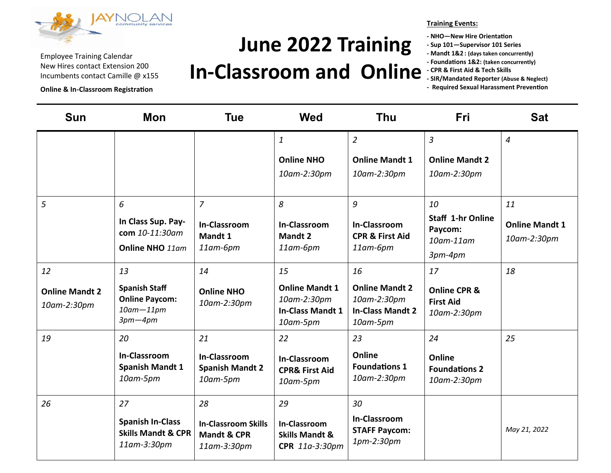

**Online & In-Classroom Registration**

## **June 2022 Training**

### **In-Classroom and Online**

**Training Events:** 

- **- NHO—New Hire Orientation**
- **- Sup 101—Supervisor 101 Series**
- **- Mandt 1&2 : (days taken concurrently)**
- **- Foundations 1&2: (taken concurrently)**
- **- CPR & First Aid & Tech Skills**
- **- SIR/Mandated Reporter (Abuse & Neglect)**
- **- Required Sexual Harassment Prevention**

| <b>Sun</b>                           | <b>Mon</b>                                                                     | <b>Tue</b>                                                          | <b>Wed</b>                                                                  | <b>Thu</b>                                                                        | <b>Fri</b>                                                         | <b>Sat</b>                           |
|--------------------------------------|--------------------------------------------------------------------------------|---------------------------------------------------------------------|-----------------------------------------------------------------------------|-----------------------------------------------------------------------------------|--------------------------------------------------------------------|--------------------------------------|
|                                      |                                                                                |                                                                     | $\mathbf{1}$                                                                | $\overline{2}$                                                                    | $\overline{3}$                                                     | $\overline{4}$                       |
|                                      |                                                                                |                                                                     | <b>Online NHO</b>                                                           | <b>Online Mandt 1</b>                                                             | <b>Online Mandt 2</b>                                              |                                      |
|                                      |                                                                                |                                                                     | 10am-2:30pm                                                                 | 10am-2:30pm                                                                       | 10am-2:30pm                                                        |                                      |
| 5                                    | 6                                                                              | $\overline{7}$                                                      | 8                                                                           | 9                                                                                 | 10                                                                 | 11                                   |
|                                      | In Class Sup. Pay-<br>com 10-11:30am<br>Online NHO 11am                        | <b>In-Classroom</b><br>Mandt 1<br>$11$ am- $6$ pm                   | <b>In-Classroom</b><br><b>Mandt 2</b><br>$11$ am- $6$ pm                    | <b>In-Classroom</b><br><b>CPR &amp; First Aid</b><br>$11$ am- $6$ pm              | <b>Staff 1-hr Online</b><br>Paycom:<br>$10$ am- $11$ am<br>3pm-4pm | <b>Online Mandt 1</b><br>10am-2:30pm |
| 12                                   | 13                                                                             | 14                                                                  | 15                                                                          | 16                                                                                | 17                                                                 | 18                                   |
| <b>Online Mandt 2</b><br>10am-2:30pm | <b>Spanish Staff</b><br><b>Online Paycom:</b><br>$10$ am $-11$ pm<br>$3pm-4pm$ | <b>Online NHO</b><br>10am-2:30pm                                    | <b>Online Mandt 1</b><br>10am-2:30pm<br><b>In-Class Mandt 1</b><br>10am-5pm | <b>Online Mandt 2</b><br>10am-2:30pm<br><b>In-Class Mandt 2</b><br>$10$ am-5 $pm$ | <b>Online CPR &amp;</b><br><b>First Aid</b><br>10am-2:30pm         |                                      |
| 19                                   | 20                                                                             | 21                                                                  | 22                                                                          | 23                                                                                | 24                                                                 | 25                                   |
|                                      | <b>In-Classroom</b><br><b>Spanish Mandt 1</b><br>$10$ am-5 $pm$                | <b>In-Classroom</b><br><b>Spanish Mandt 2</b><br>$10$ am-5 $pm$     | <b>In-Classroom</b><br><b>CPR&amp; First Aid</b><br>$10$ am-5 $pm$          | Online<br><b>Foundations 1</b><br>10am-2:30pm                                     | Online<br><b>Foundations 2</b><br>10am-2:30pm                      |                                      |
| 26                                   | 27                                                                             | 28                                                                  | 29                                                                          | 30                                                                                |                                                                    |                                      |
|                                      | <b>Spanish In-Class</b><br><b>Skills Mandt &amp; CPR</b><br>11am-3:30pm        | <b>In-Classroom Skills</b><br><b>Mandt &amp; CPR</b><br>11am-3:30pm | In-Classroom<br><b>Skills Mandt &amp;</b><br>CPR 11a-3:30pm                 | <b>In-Classroom</b><br><b>STAFF Paycom:</b><br>1pm-2:30pm                         |                                                                    | May 21, 2022                         |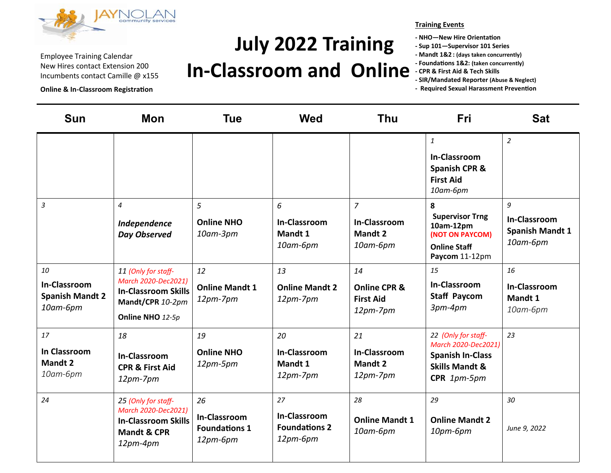

**Online & In-Classroom Registration**

# **July 2022 Training**

### **In-Classroom and Online**

**Training Events**

**- NHO—New Hire Orientation**

**- Sup 101—Supervisor 101 Series**

**- Mandt 1&2 : (days taken concurrently)**

- **- Foundations 1&2: (taken concurrently)**
- **- CPR & First Aid & Tech Skills**

**<sup>-</sup> Required Sexual Harassment Prevention**

| <b>Sun</b>                                                      | <b>Mon</b>                                                                                                       | <b>Tue</b>                                                    | <b>Wed</b>                                                      | <b>Thu</b>                                                      | <b>Fri</b>                                                                                                        | <b>Sat</b>                                                     |
|-----------------------------------------------------------------|------------------------------------------------------------------------------------------------------------------|---------------------------------------------------------------|-----------------------------------------------------------------|-----------------------------------------------------------------|-------------------------------------------------------------------------------------------------------------------|----------------------------------------------------------------|
|                                                                 |                                                                                                                  |                                                               |                                                                 |                                                                 | $\mathbf{1}$<br><b>In-Classroom</b><br><b>Spanish CPR &amp;</b><br><b>First Aid</b><br>10am-6pm                   | $\overline{a}$                                                 |
| 3                                                               | $\overline{4}$<br>Independence<br><b>Day Observed</b>                                                            | 5<br><b>Online NHO</b><br>$10$ am- $3$ pm                     | 6<br>In-Classroom<br>Mandt 1<br>10am-6pm                        | $\overline{z}$<br>In-Classroom<br><b>Mandt 2</b><br>10am-6pm    | 8<br><b>Supervisor Trng</b><br>10am-12pm<br>(NOT ON PAYCOM)<br><b>Online Staff</b><br>Paycom 11-12pm              | 9<br><b>In-Classroom</b><br><b>Spanish Mandt 1</b><br>10am-6pm |
| 10<br><b>In-Classroom</b><br><b>Spanish Mandt 2</b><br>10am-6pm | 11 (Only for staff-<br>March 2020-Dec2021)<br><b>In-Classroom Skills</b><br>Mandt/CPR 10-2pm<br>Online NHO 12-5p | 12<br><b>Online Mandt 1</b><br>12pm-7pm                       | 13<br><b>Online Mandt 2</b><br>$12pm-7pm$                       | 14<br><b>Online CPR &amp;</b><br><b>First Aid</b><br>$12pm-7pm$ | 15<br><b>In-Classroom</b><br><b>Staff Paycom</b><br>3pm-4pm                                                       | 16<br><b>In-Classroom</b><br>Mandt 1<br>10am-6pm               |
| 17<br><b>In Classroom</b><br><b>Mandt 2</b><br>10am-6pm         | 18<br><b>In-Classroom</b><br><b>CPR &amp; First Aid</b><br>$12pm-7pm$                                            | 19<br><b>Online NHO</b><br>12pm-5pm                           | 20<br>In-Classroom<br>Mandt 1<br>$12pm-7pm$                     | 21<br>In-Classroom<br><b>Mandt 2</b><br>$12pm-7pm$              | 22 (Only for staff-<br>March 2020-Dec2021)<br><b>Spanish In-Class</b><br><b>Skills Mandt &amp;</b><br>CPR 1pm-5pm | 23                                                             |
| 24                                                              | 25 (Only for staff-<br>March 2020-Dec2021)<br><b>In-Classroom Skills</b><br><b>Mandt &amp; CPR</b><br>$12pm-4pm$ | 26<br><b>In-Classroom</b><br><b>Foundations 1</b><br>12pm-6pm | 27<br><b>In-Classroom</b><br><b>Foundations 2</b><br>$12pm-6pm$ | 28<br><b>Online Mandt 1</b><br>10am-6pm                         | 29<br><b>Online Mandt 2</b><br>10pm-6pm                                                                           | 30<br>June 9, 2022                                             |

**<sup>-</sup> SIR/Mandated Reporter (Abuse & Neglect)**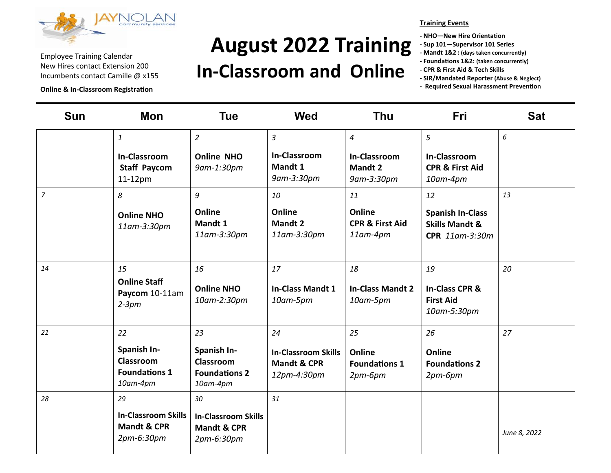

**Online & In-Classroom Registration**

# **August 2022 Training**

### **In-Classroom and Online**

#### **Training Events**

- **- NHO—New Hire Orientation**
- **- Sup 101—Supervisor 101 Series**
- **- Mandt 1&2 : (days taken concurrently)**
- **- Foundations 1&2: (taken concurrently)**
- **- CPR & First Aid & Tech Skills**
- **- SIR/Mandated Reporter (Abuse & Neglect)**
- **- Required Sexual Harassment Prevention**

| <b>Sun</b>     | Mon                                                                      | <b>Tue</b>                                                                | <b>Wed</b>                                                                | <b>Thu</b>                                              | <b>Fri</b>                                                             | <b>Sat</b>   |
|----------------|--------------------------------------------------------------------------|---------------------------------------------------------------------------|---------------------------------------------------------------------------|---------------------------------------------------------|------------------------------------------------------------------------|--------------|
|                | 1                                                                        | $\overline{2}$                                                            | $\overline{3}$                                                            | $\overline{4}$                                          | 5                                                                      | 6            |
|                | <b>In-Classroom</b><br><b>Staff Paycom</b><br>$11-12$ pm                 | <b>Online NHO</b><br>9am-1:30pm                                           | <b>In-Classroom</b><br>Mandt 1<br>9am-3:30pm                              | In-Classroom<br><b>Mandt 2</b><br>9am-3:30pm            | <b>In-Classroom</b><br><b>CPR &amp; First Aid</b><br>10am-4pm          |              |
| $\overline{z}$ | 8                                                                        | 9                                                                         | 10                                                                        | 11                                                      | 12                                                                     | 13           |
|                | <b>Online NHO</b><br>11am-3:30pm                                         | Online<br>Mandt 1<br>11am-3:30pm                                          | Online<br><b>Mandt 2</b><br>11am-3:30pm                                   | Online<br><b>CPR &amp; First Aid</b><br>$11$ am- $4$ pm | <b>Spanish In-Class</b><br><b>Skills Mandt &amp;</b><br>CPR 11am-3:30m |              |
| 14             | 15<br><b>Online Staff</b><br>Paycom 10-11am<br>$2-3pm$                   | 16<br><b>Online NHO</b><br>10am-2:30pm                                    | 17<br><b>In-Class Mandt 1</b><br>10am-5pm                                 | 18<br><b>In-Class Mandt 2</b><br>10am-5pm               | 19<br>In-Class CPR &<br><b>First Aid</b><br>10am-5:30pm                | 20           |
| 21             | 22<br>Spanish In-<br>Classroom<br><b>Foundations 1</b><br>10am-4pm       | 23<br>Spanish In-<br><b>Classroom</b><br><b>Foundations 2</b><br>10am-4pm | 24<br><b>In-Classroom Skills</b><br><b>Mandt &amp; CPR</b><br>12pm-4:30pm | 25<br>Online<br><b>Foundations 1</b><br>$2pm-6pm$       | 26<br>Online<br><b>Foundations 2</b><br>$2pm-6pm$                      | 27           |
| 28             | 29<br><b>In-Classroom Skills</b><br><b>Mandt &amp; CPR</b><br>2pm-6:30pm | 30<br><b>In-Classroom Skills</b><br><b>Mandt &amp; CPR</b><br>2pm-6:30pm  | 31                                                                        |                                                         |                                                                        | June 8, 2022 |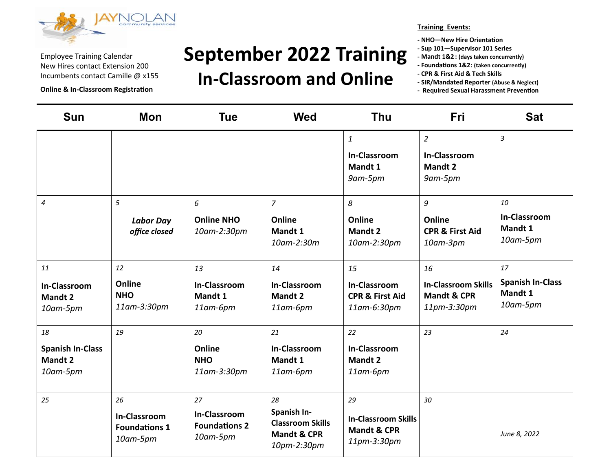

**Online & In-Classroom Registration**

## **September 2022 Training**

#### **In-Classroom and Online**

**Training Events:**

**- NHO—New Hire Orientation**

- **- Sup 101—Supervisor 101 Series**
- **- Mandt 1&2 : (days taken concurrently)**
- **- Foundations 1&2: (taken concurrently)**
- **- CPR & First Aid & Tech Skills**
- **- SIR/Mandated Reporter (Abuse & Neglect)**
- **- Required Sexual Harassment Prevention**

| <b>Sun</b>                                                  | <b>Mon</b>                                                    | <b>Tue</b>                                                    | <b>Wed</b>                                                                            | <b>Thu</b>                                                                | Fri                                                                       | <b>Sat</b>                                           |
|-------------------------------------------------------------|---------------------------------------------------------------|---------------------------------------------------------------|---------------------------------------------------------------------------------------|---------------------------------------------------------------------------|---------------------------------------------------------------------------|------------------------------------------------------|
|                                                             |                                                               |                                                               |                                                                                       | $\mathbf{1}$<br><b>In-Classroom</b><br>Mandt 1<br>9am-5pm                 | $\overline{2}$<br>In-Classroom<br>Mandt 2<br>9am-5pm                      | $\mathfrak{Z}$                                       |
| $\overline{\mathcal{A}}$                                    | 5<br><b>Labor Day</b><br>office closed                        | 6<br><b>Online NHO</b><br>10am-2:30pm                         | $\overline{7}$<br>Online<br>Mandt 1<br>10am-2:30m                                     | 8<br>Online<br><b>Mandt 2</b><br>10am-2:30pm                              | 9<br>Online<br><b>CPR &amp; First Aid</b><br>10am-3pm                     | 10<br>In-Classroom<br>Mandt 1<br>10am-5pm            |
| 11<br><b>In-Classroom</b><br><b>Mandt 2</b><br>10am-5pm     | 12<br>Online<br><b>NHO</b><br>11am-3:30pm                     | 13<br><b>In-Classroom</b><br>Mandt 1<br>11am-6pm              | 14<br><b>In-Classroom</b><br><b>Mandt 2</b><br>11am-6pm                               | 15<br><b>In-Classroom</b><br><b>CPR &amp; First Aid</b><br>11am-6:30pm    | 16<br><b>In-Classroom Skills</b><br><b>Mandt &amp; CPR</b><br>11pm-3:30pm | 17<br><b>Spanish In-Class</b><br>Mandt 1<br>10am-5pm |
| 18<br><b>Spanish In-Class</b><br><b>Mandt 2</b><br>10am-5pm | 19                                                            | 20<br>Online<br><b>NHO</b><br>11am-3:30pm                     | 21<br><b>In-Classroom</b><br>Mandt 1<br>$11$ am- $6$ pm                               | 22<br>In-Classroom<br><b>Mandt 2</b><br>$11$ am- $6$ pm                   | 23                                                                        | 24                                                   |
| 25                                                          | 26<br><b>In-Classroom</b><br><b>Foundations 1</b><br>10am-5pm | 27<br><b>In-Classroom</b><br><b>Foundations 2</b><br>10am-5pm | 28<br>Spanish In-<br><b>Classroom Skills</b><br><b>Mandt &amp; CPR</b><br>10pm-2:30pm | 29<br><b>In-Classroom Skills</b><br><b>Mandt &amp; CPR</b><br>11pm-3:30pm | 30                                                                        | June 8, 2022                                         |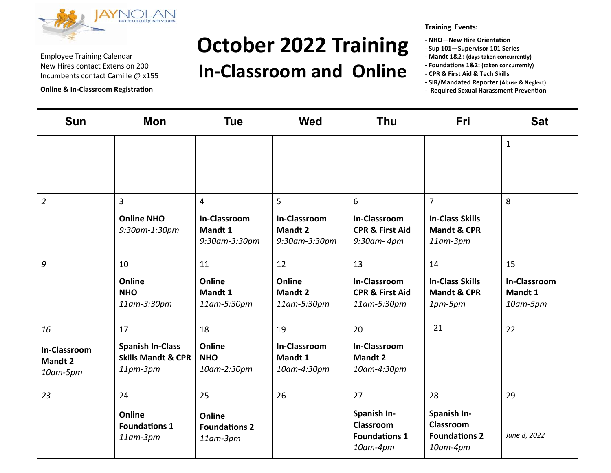

**Online & In-Classroom Registration**

### **October 2022 Training In-Classroom and Online**

#### **Training Events:**

- **- NHO—New Hire Orientation**
- **- Sup 101—Supervisor 101 Series**
- **- Mandt 1&2 : (days taken concurrently)**
- **- Foundations 1&2: (taken concurrently)**
- **- CPR & First Aid & Tech Skills**
- **- SIR/Mandated Reporter (Abuse & Neglect)**
- **- Required Sexual Harassment Prevention**

| <b>Sun</b>                                              | Mon                                                                        | <b>Tue</b>                                                        | <b>Wed</b>                                                  | <b>Thu</b>                                                             | <b>Fri</b>                                                                     | <b>Sat</b>                                       |
|---------------------------------------------------------|----------------------------------------------------------------------------|-------------------------------------------------------------------|-------------------------------------------------------------|------------------------------------------------------------------------|--------------------------------------------------------------------------------|--------------------------------------------------|
|                                                         |                                                                            |                                                                   |                                                             |                                                                        |                                                                                | $\mathbf{1}$                                     |
| $\overline{2}$                                          | $\overline{3}$<br><b>Online NHO</b><br>9:30am-1:30pm                       | $\overline{4}$<br><b>In-Classroom</b><br>Mandt 1<br>9:30am-3:30pm | 5<br><b>In-Classroom</b><br><b>Mandt 2</b><br>9:30am-3:30pm | 6<br><b>In-Classroom</b><br><b>CPR &amp; First Aid</b><br>9:30am- 4pm  | $\overline{7}$<br><b>In-Class Skills</b><br><b>Mandt &amp; CPR</b><br>11am-3pm | 8                                                |
| 9                                                       | 10<br>Online<br><b>NHO</b><br>11am-3:30pm                                  | 11<br>Online<br>Mandt 1<br>11am-5:30pm                            | 12<br>Online<br>Mandt 2<br>11am-5:30pm                      | 13<br><b>In-Classroom</b><br><b>CPR &amp; First Aid</b><br>11am-5:30pm | 14<br><b>In-Class Skills</b><br><b>Mandt &amp; CPR</b><br>$1pm-5pm$            | 15<br><b>In-Classroom</b><br>Mandt 1<br>10am-5pm |
| 16<br><b>In-Classroom</b><br><b>Mandt 2</b><br>10am-5pm | 17<br><b>Spanish In-Class</b><br><b>Skills Mandt &amp; CPR</b><br>11pm-3pm | 18<br>Online<br><b>NHO</b><br>10am-2:30pm                         | 19<br><b>In-Classroom</b><br>Mandt 1<br>10am-4:30pm         | 20<br><b>In-Classroom</b><br><b>Mandt 2</b><br>10am-4:30pm             | 21                                                                             | 22                                               |
| 23                                                      | 24<br>Online<br><b>Foundations 1</b><br>11am-3pm                           | 25<br>Online<br><b>Foundations 2</b><br>11am-3pm                  | 26                                                          | 27<br>Spanish In-<br>Classroom<br><b>Foundations 1</b><br>10am-4pm     | 28<br>Spanish In-<br>Classroom<br><b>Foundations 2</b><br>10am-4pm             | 29<br>June 8, 2022                               |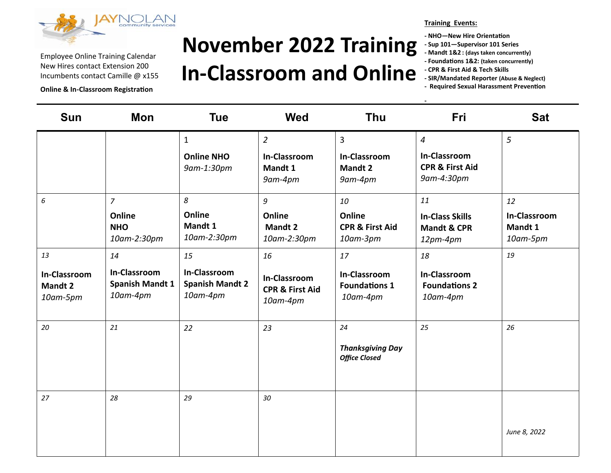

**Online & In-Classroom Registration**

## **November 2022 Training In-Classroom and Online**

#### **Training Events:**

**-**

**- NHO—New Hire Orientation**

- **- Sup 101—Supervisor 101 Series**
- **- Mandt 1&2 : (days taken concurrently)**
- **- Foundations 1&2: (taken concurrently)**
- **- CPR & First Aid & Tech Skills**
- **- SIR/Mandated Reporter (Abuse & Neglect)**
- **- Required Sexual Harassment Prevention**

| <b>Sun</b>                                              | Mon                                                      | <b>Tue</b>                                               | <b>Wed</b>                                                          | <b>Thu</b>                                                  | Fri                                                                               | <b>Sat</b>                                |
|---------------------------------------------------------|----------------------------------------------------------|----------------------------------------------------------|---------------------------------------------------------------------|-------------------------------------------------------------|-----------------------------------------------------------------------------------|-------------------------------------------|
|                                                         |                                                          | $\mathbf{1}$<br><b>Online NHO</b><br>9am-1:30pm          | $\overline{2}$<br>In-Classroom<br>Mandt 1<br>9am-4pm                | $\overline{3}$<br><b>In-Classroom</b><br>Mandt 2<br>9am-4pm | $\overline{4}$<br><b>In-Classroom</b><br><b>CPR &amp; First Aid</b><br>9am-4:30pm | 5                                         |
| 6                                                       | $\overline{7}$<br>Online<br><b>NHO</b><br>10am-2:30pm    | 8<br>Online<br>Mandt 1<br>10am-2:30pm                    | 9<br>Online<br>Mandt 2<br>10am-2:30pm                               | 10<br>Online<br><b>CPR &amp; First Aid</b><br>10am-3pm      | 11<br><b>In-Class Skills</b><br><b>Mandt &amp; CPR</b><br>$12pm-4pm$              | 12<br>In-Classroom<br>Mandt 1<br>10am-5pm |
| 13<br><b>In-Classroom</b><br><b>Mandt 2</b><br>10am-5pm | 14<br>In-Classroom<br><b>Spanish Mandt 1</b><br>10am-4pm | 15<br>In-Classroom<br><b>Spanish Mandt 2</b><br>10am-4pm | 16<br><b>In-Classroom</b><br><b>CPR &amp; First Aid</b><br>10am-4pm | 17<br>In-Classroom<br><b>Foundations 1</b><br>10am-4pm      | 18<br><b>In-Classroom</b><br><b>Foundations 2</b><br>10am-4pm                     | 19                                        |
| 20                                                      | 21                                                       | 22                                                       | 23                                                                  | 24<br><b>Thanksgiving Day</b><br><b>Office Closed</b>       | 25                                                                                | 26                                        |
| 27                                                      | 28                                                       | 29                                                       | 30                                                                  |                                                             |                                                                                   | June 8, 2022                              |